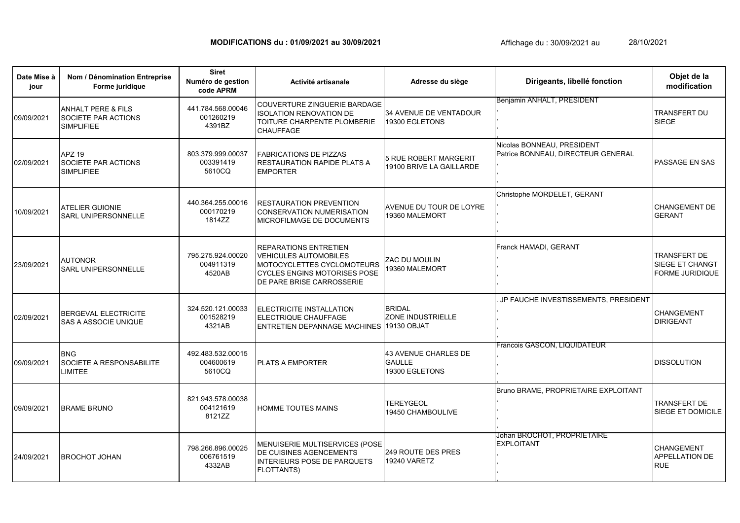## **MODIFICATIONS du : 01/09/2021 au 30/09/2021** 28/10/2021

**Date Mise à jour Nom / Dénomination Entreprise Forme juridique Activité artisanale** 09/09/2021 ANHALT PERE & FILS SOCIETE PAR ACTIONS SIMPLIFIEE COUVERTURE ZINGUERIE BARDAGE ISOLATION RENOVATION DE TOITURE CHARPENTE PLOMBERIE **CHAUFFAGE** 02/09/2021 APZ 19 SOCIETE PAR ACTIONS SIMPI IFIFF FABRICATIONS DE PIZZAS RESTAURATION RAPIDE PLATS A EMPORTER 10/09/2021 ATELIER GUIONIE SARL UNIPERSONNELLE RESTAURATION PREVENTION CONSERVATION NUMERISATION MICROFILMAGE DE DOCUMENTS 23/09/2021 AUTONOR SARL UNIPERSONNELLE REPARATIONS ENTRETIEN VEHICULES AUTOMOBILES MOTOCYCLETTES CYCLOMOTEURS CYCLES ENGINS MOTORISES POSE DE PARE BRISE CARROSSERIE 02/09/2021 BERGEVAL ELECTRICITE SAS A ASSOCIE UNIQUE ELECTRICITE INSTALLATION ELECTRIQUE CHAUFFAGE ENTRETIEN DEPANNAGE MACHINES 09/09/2021 **BNG** SOCIETE A RESPONSABILITE LIMITEE PLATS A EMPORTER 09/09/2021 BRAME BRUNO HOMME TOUTES MAINS 24/09/2021 BROCHOT JOHAN MENUISERIE MULTISERVICES (POSE DE CUISINES AGENCEMENTS INTERIEURS POSE DE PARQUETS FLOTTANTS) **Siret Numéro de gestion code APRM Adresse du siège Dirigeants, libellé fonction Objet de la modification** 441.784.568.00046 001260219 4391BZ 34 AVENUE DE VENTADOUR 19300 EGLETONS Benjamin ANHALT, PRESIDENT , , , , TRANSFERT DU SIEGE 803.379.999.00037 003391419 5610CQ 5 RUE ROBERT MARGERIT 19100 BRIVE LA GAILLARDE Nicolas BONNEAU, PRESIDENT Patrice BONNEAU, DIRECTEUR GENERAL , , , PASSAGE EN SAS 440.364.255.00016 000170219 1814ZZ AVENUE DU TOUR DE LOYRE 19360 MALEMORT Christophe MORDELET, GERANT , , , , CHANGEMENT DE GERANT 795.275.924.00020 004911319 4520AB ZAC DU MOULIN 19360 MALEMORT Franck HAMADI, GERANT , , , , TRANSFERT DE SIEGE ET CHANGT FORME JURIDIQUE 324.520.121.00033 001528219 4321AB **BRIDAL** ZONE INDUSTRIELLE 19130 OBJAT . JP FAUCHE INVESTISSEMENTS, PRESIDENT , , , , CHANGEMENT DIRIGEANT 492.483.532.00015 004600619 5610CQ 43 AVENUE CHARLES DE **GAULLE** 19300 EGLETONS Francois GASCON, LIQUIDATEUR , , , , DISSOLUTION 821.943.578.00038 004121619 8121ZZ **TEREYGEOL** 19450 CHAMBOULIVE Bruno BRAME, PROPRIETAIRE EXPLOITANT , , , , TRANSFERT DE SIEGE ET DOMICILE 798.266.896.00025 006761519 4332AB 249 ROUTE DES PRES 19240 VARETZ Johan BROCHOT, PROPRIETAIRE EXPLOITANT , , , , **CHANGEMENT** APPELLATION DE RUE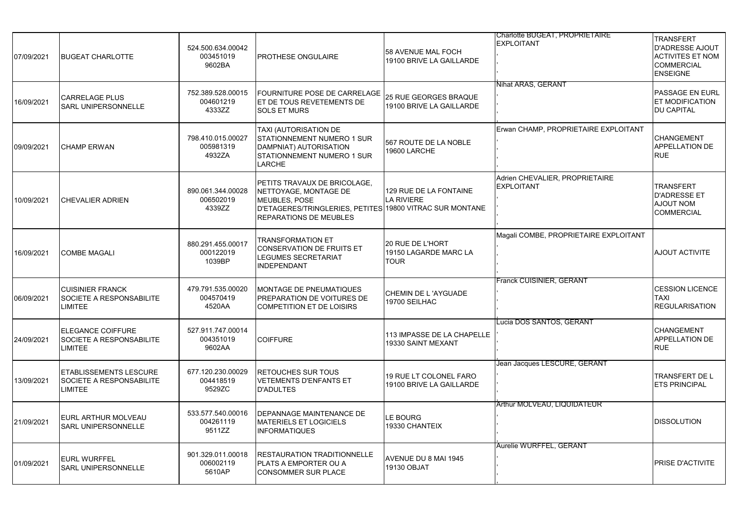| 07/09/2021 | <b>BUGEAT CHARLOTTE</b>                                                     | 524.500.634.00042<br>003451019<br>9602BA | PROTHESE ONGULAIRE                                                                                                                                                         | 58 AVENUE MAL FOCH<br>19100 BRIVE LA GAILLARDE           | Charlotte BUGEAT, PROPRIETAIRE<br><b>EXPLOITANT</b> | <b>TRANSFERT</b><br><b>D'ADRESSE AJOUT</b><br><b>ACTIVITES ET NOM</b><br><b>COMMERCIAL</b><br><b>ENSEIGNE</b> |
|------------|-----------------------------------------------------------------------------|------------------------------------------|----------------------------------------------------------------------------------------------------------------------------------------------------------------------------|----------------------------------------------------------|-----------------------------------------------------|---------------------------------------------------------------------------------------------------------------|
| 16/09/2021 | <b>CARRELAGE PLUS</b><br>SARL UNIPERSONNELLE                                | 752.389.528.00015<br>004601219<br>4333ZZ | <b>FOURNITURE POSE DE CARRELAGE</b><br>ET DE TOUS REVETEMENTS DE<br><b>SOLS ET MURS</b>                                                                                    | <b>25 RUE GEORGES BRAQUE</b><br>19100 BRIVE LA GAILLARDE | Nihat ARAS, GERANT                                  | <b>PASSAGE EN EURL</b><br><b>ET MODIFICATION</b><br><b>DU CAPITAL</b>                                         |
| 09/09/2021 | <b>CHAMP ERWAN</b>                                                          | 798.410.015.00027<br>005981319<br>4932ZA | TAXI (AUTORISATION DE<br>STATIONNEMENT NUMERO 1 SUR<br>DAMPNIAT) AUTORISATION<br>STATIONNEMENT NUMERO 1 SUR<br>LARCHE                                                      | 567 ROUTE DE LA NOBLE<br>19600 LARCHE                    | Erwan CHAMP, PROPRIETAIRE EXPLOITANT                | <b>CHANGEMENT</b><br>APPELLATION DE<br><b>RUE</b>                                                             |
| 10/09/2021 | <b>CHEVALIER ADRIEN</b>                                                     | 890.061.344.00028<br>006502019<br>4339ZZ | PETITS TRAVAUX DE BRICOLAGE.<br>NETTOYAGE, MONTAGE DE<br><b>MEUBLES, POSE</b><br>D'ETAGERES/TRINGLERIES, PETITES 19800 VITRAC SUR MONTANE<br><b>REPARATIONS DE MEUBLES</b> | 129 RUE DE LA FONTAINE<br><b>LA RIVIERE</b>              | Adrien CHEVALIER, PROPRIETAIRE<br><b>EXPLOITANT</b> | <b>TRANSFERT</b><br><b>D'ADRESSE ET</b><br><b>NOUT NOM</b><br><b>COMMERCIAL</b>                               |
| 16/09/2021 | <b>COMBE MAGALI</b>                                                         | 880.291.455.00017<br>000122019<br>1039BP | <b>TRANSFORMATION ET</b><br><b>CONSERVATION DE FRUITS ET</b><br>LEGUMES SECRETARIAT<br><b>INDEPENDANT</b>                                                                  | 20 RUE DE L'HORT<br>19150 LAGARDE MARC LA<br><b>TOUR</b> | Magali COMBE, PROPRIETAIRE EXPLOITANT               | <b>AJOUT ACTIVITE</b>                                                                                         |
| 06/09/2021 | <b>CUISINIER FRANCK</b><br>SOCIETE A RESPONSABILITE<br><b>LIMITEE</b>       | 479.791.535.00020<br>004570419<br>4520AA | MONTAGE DE PNEUMATIQUES<br>PREPARATION DE VOITURES DE<br><b>COMPETITION ET DE LOISIRS</b>                                                                                  | CHEMIN DE L'AYGUADE<br>19700 SEILHAC                     | Franck CUISINIER, GERANT                            | <b>CESSION LICENCE</b><br><b>TAXI</b><br><b>REGULARISATION</b>                                                |
| 24/09/2021 | <b>ELEGANCE COIFFURE</b><br>SOCIETE A RESPONSABILITE<br><b>LIMITEE</b>      | 527.911.747.00014<br>004351019<br>9602AA | <b>COIFFURE</b>                                                                                                                                                            | 113 IMPASSE DE LA CHAPELLE<br>19330 SAINT MEXANT         | Lucia DOS SANTOS, GERANT                            | CHANGEMENT<br>APPELLATION DE<br><b>RUE</b>                                                                    |
| 13/09/2021 | <b>ETABLISSEMENTS LESCURE</b><br><b>SOCIETE A RESPONSABILITE</b><br>LIMITEE | 677.120.230.00029<br>004418519<br>9529ZC | <b>RETOUCHES SUR TOUS</b><br><b>VETEMENTS D'ENFANTS ET</b><br>D'ADULTES                                                                                                    | 19 RUE LT COLONEL FARO<br>19100 BRIVE LA GAILLARDE       | Jean Jacques LESCURE, GERANT                        | TRANSFERT DE L<br><b>ETS PRINCIPAL</b>                                                                        |
| 21/09/2021 | EURL ARTHUR MOLVEAU<br><b>SARL UNIPERSONNELLE</b>                           | 533.577.540.00016<br>004261119<br>9511ZZ | DEPANNAGE MAINTENANCE DE<br><b>MATERIELS ET LOGICIELS</b><br><b>INFORMATIQUES</b>                                                                                          | LE BOURG<br>19330 CHANTEIX                               | Arthur MOLVEAU, LIQUIDATEUR                         | <b>DISSOLUTION</b>                                                                                            |
| 01/09/2021 | <b>EURL WURFFEL</b><br><b>SARL UNIPERSONNELLE</b>                           | 901.329.011.00018<br>006002119<br>5610AP | RESTAURATION TRADITIONNELLE<br>PLATS A EMPORTER OU A<br><b>CONSOMMER SUR PLACE</b>                                                                                         | AVENUE DU 8 MAI 1945<br>19130 OBJAT                      | Aurelie WURFFEL, GERANT                             | PRISE D'ACTIVITE                                                                                              |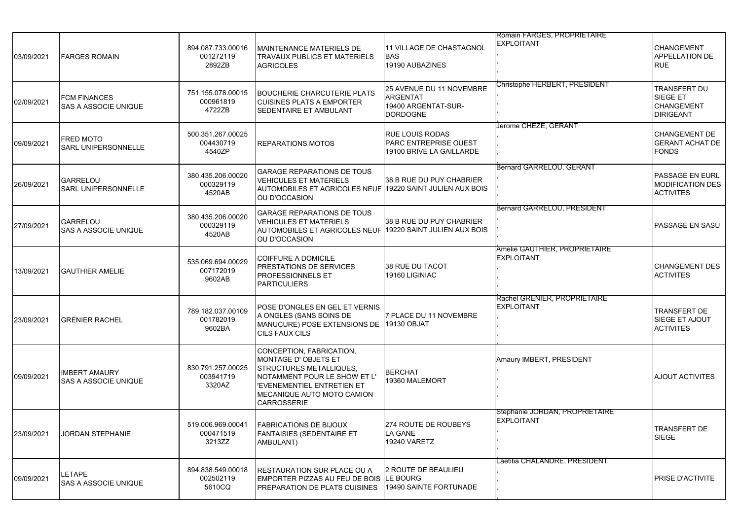| 03/09/2021 | <b>FARGES ROMAIN</b>                                | 894.087.733.00016<br>001272119<br>2892ZB | MAINTENANCE MATERIELS DE<br><b>TRAVAUX PUBLICS ET MATERIELS</b><br><b>AGRICOLES</b>                                                                                                                  | <b>11 VILLAGE DE CHASTAGNOL</b><br><b>BAS</b><br>19190 AUBAZINES                      | Romain FARGES, PROPRIETAIRE<br><b>EXPLOITANT</b>     | CHANGEMENT<br><b>APPELLATION DE</b><br><b>RUE</b>                 |
|------------|-----------------------------------------------------|------------------------------------------|------------------------------------------------------------------------------------------------------------------------------------------------------------------------------------------------------|---------------------------------------------------------------------------------------|------------------------------------------------------|-------------------------------------------------------------------|
| 02/09/2021 | <b>FCM FINANCES</b><br><b>SAS A ASSOCIE UNIQUE</b>  | 751.155.078.00015<br>000961819<br>4722ZB | <b>BOUCHERIE CHARCUTERIE PLATS</b><br><b>CUISINES PLATS A EMPORTER</b><br>SEDENTAIRE ET AMBULANT                                                                                                     | 25 AVENUE DU 11 NOVEMBRE<br><b>ARGENTAT</b><br>19400 ARGENTAT-SUR-<br><b>DORDOGNE</b> | Christophe HERBERT, PRESIDENT                        | TRANSFERT DU<br>SIEGE ET<br><b>CHANGEMENT</b><br><b>DIRIGEANT</b> |
| 09/09/2021 | <b>FRED MOTO</b><br><b>SARL UNIPERSONNELLE</b>      | 500.351.267.00025<br>004430719<br>4540ZP | <b>REPARATIONS MOTOS</b>                                                                                                                                                                             | <b>RUE LOUIS RODAS</b><br><b>PARC ENTREPRISE OUEST</b><br>19100 BRIVE LA GAILLARDE    | Jerome CHEZE, GERANT                                 | <b>CHANGEMENT DE</b><br><b>GERANT ACHAT DE</b><br><b>FONDS</b>    |
| 26/09/2021 | <b>GARRELOU</b><br><b>SARL UNIPERSONNELLE</b>       | 380.435.206.00020<br>000329119<br>4520AB | <b>GARAGE REPARATIONS DE TOUS</b><br><b>VEHICULES ET MATERIELS</b><br>AUTOMOBILES ET AGRICOLES NEUF 19220 SAINT JULIEN AUX BOIS<br>OU D'OCCASION                                                     | 38 B RUE DU PUY CHABRIER                                                              | Bernard GARRELOU, GERANT                             | PASSAGE EN EURL<br><b>MODIFICATION DES</b><br><b>ACTIVITES</b>    |
| 27/09/2021 | <b>GARRELOU</b><br><b>SAS A ASSOCIE UNIQUE</b>      | 380.435.206.00020<br>000329119<br>4520AB | <b>GARAGE REPARATIONS DE TOUS</b><br><b>VEHICULES ET MATERIELS</b><br>AUTOMOBILES ET AGRICOLES NEUF 19220 SAINT JULIEN AUX BOIS<br><b>OU D'OCCASION</b>                                              | 38 B RUE DU PUY CHABRIER                                                              | Bernard GARRELOU. PRESIDENT                          | PASSAGE EN SASU                                                   |
| 13/09/2021 | <b>IGAUTHIER AMELIE</b>                             | 535.069.694.00029<br>007172019<br>9602AB | <b>COIFFURE A DOMICILE</b><br>PRESTATIONS DE SERVICES<br><b>PROFESSIONNELS ET</b><br><b>PARTICULIERS</b>                                                                                             | 38 RUE DU TACOT<br>19160 LIGINIAC                                                     | Amelie GAUTHIER, PROPRIETAIRE<br><b>EXPLOITANT</b>   | <b>CHANGEMENT DES</b><br><b>ACTIVITES</b>                         |
| 23/09/2021 | <b>GRENIER RACHEL</b>                               | 789.182.037.00109<br>001782019<br>9602BA | POSE D'ONGLES EN GEL ET VERNIS<br>A ONGLES (SANS SOINS DE<br>MANUCURE) POSE EXTENSIONS DE 19130 OBJAT<br>CILS FAUX CILS                                                                              | 7 PLACE DU 11 NOVEMBRE                                                                | Rachel GRENIER, PROPRIETAIRE<br><b>EXPLOITANT</b>    | TRANSFERT DE<br>SIEGE ET AJOUT<br><b>ACTIVITES</b>                |
| 09/09/2021 | <b>IMBERT AMAURY</b><br><b>SAS A ASSOCIE UNIQUE</b> | 830.791.257.00025<br>003941719<br>3320AZ | CONCEPTION, FABRICATION,<br><b>MONTAGE D' OBJETS ET</b><br><b>STRUCTURES METALLIQUES,</b><br>NOTAMMENT POUR LE SHOW ET L'<br>'EVENEMENTIEL ENTRETIEN ET<br>MECANIQUE AUTO MOTO CAMION<br>CARROSSERIE | <b>BERCHAT</b><br>19360 MALEMORT                                                      | Amaury IMBERT, PRESIDENT                             | <b>AJOUT ACTIVITES</b>                                            |
| 23/09/2021 | <b>JORDAN STEPHANIE</b>                             | 519.006.969.00041<br>000471519<br>3213ZZ | <b>FABRICATIONS DE BIJOUX</b><br>FANTAISIES (SEDENTAIRE ET<br>AMBULANT)                                                                                                                              | 274 ROUTE DE ROUBEYS<br><b>LA GANE</b><br><b>19240 VARETZ</b>                         | Stephanie JORDAN, PROPRIE LAIRE<br><b>EXPLOITANT</b> | <b>TRANSFERT DE</b><br><b>SIEGE</b>                               |
| 09/09/2021 | <b>LETAPE</b><br><b>SAS A ASSOCIE UNIQUE</b>        | 894.838.549.00018<br>002502119<br>5610CQ | RESTAURATION SUR PLACE OU A<br>EMPORTER PIZZAS AU FEU DE BOIS LE BOURG<br>PREPARATION DE PLATS CUISINES                                                                                              | <b>2 ROUTE DE BEAULIEU</b><br>19490 SAINTE FORTUNADE                                  | Laetitia CHALANDRE, PRESIDENT                        | PRISE D'ACTIVITE                                                  |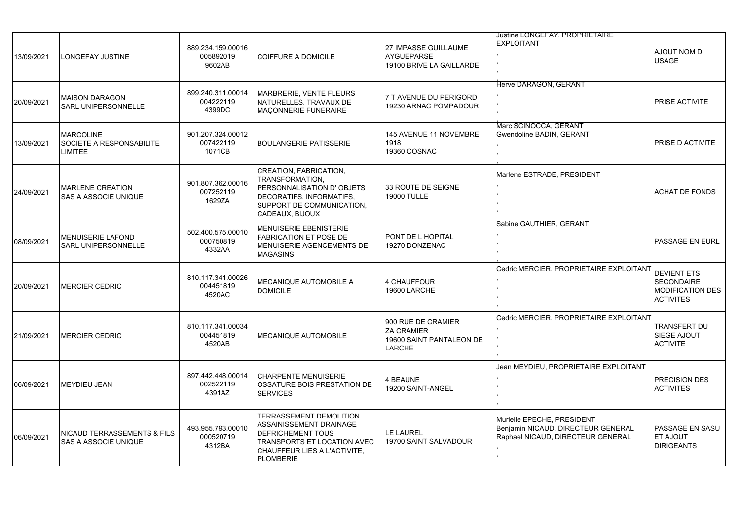| 13/09/2021 | LONGEFAY JUSTINE                                                      | 889.234.159.00016<br>005892019<br>9602AB | <b>COIFFURE A DOMICILE</b>                                                                                                                                        | 27 IMPASSE GUILLAUME<br><b>AYGUEPARSE</b><br>19100 BRIVE LA GAILLARDE                | <b>Justine LONGEFAY, PROPRIETAIRE</b><br><b>EXPLOITANT</b>                                            | AJOUT NOM D<br><b>USAGE</b>                                                            |
|------------|-----------------------------------------------------------------------|------------------------------------------|-------------------------------------------------------------------------------------------------------------------------------------------------------------------|--------------------------------------------------------------------------------------|-------------------------------------------------------------------------------------------------------|----------------------------------------------------------------------------------------|
| 20/09/2021 | <b>MAISON DARAGON</b><br><b>SARL UNIPERSONNELLE</b>                   | 899.240.311.00014<br>004222119<br>4399DC | MARBRERIE, VENTE FLEURS<br>NATURELLES, TRAVAUX DE<br>MACONNERIE FUNERAIRE                                                                                         | 7 T AVENUE DU PERIGORD<br>19230 ARNAC POMPADOUR                                      | Herve DARAGON, GERANT                                                                                 | PRISE ACTIVITE                                                                         |
| 13/09/2021 | <b>MARCOLINE</b><br><b>SOCIETE A RESPONSABILITE</b><br><b>LIMITEE</b> | 901.207.324.00012<br>007422119<br>1071CB | <b>BOULANGERIE PATISSERIE</b>                                                                                                                                     | 145 AVENUE 11 NOVEMBRE<br>1918<br>19360 COSNAC                                       | Marc SCINOCCA, GERANT<br>Gwendoline BADIN, GERANT                                                     | PRISE D ACTIVITE                                                                       |
| 24/09/2021 | <b>MARLENE CREATION</b><br><b>SAS A ASSOCIE UNIQUE</b>                | 901.807.362.00016<br>007252119<br>1629ZA | CREATION, FABRICATION,<br>TRANSFORMATION.<br>PERSONNALISATION D'OBJETS<br>DECORATIFS, INFORMATIFS,<br>SUPPORT DE COMMUNICATION,<br>CADEAUX, BIJOUX                | 33 ROUTE DE SEIGNE<br><b>19000 TULLE</b>                                             | Marlene ESTRADE, PRESIDENT                                                                            | <b>ACHAT DE FONDS</b>                                                                  |
| 08/09/2021 | <b>MENUISERIE LAFOND</b><br>SARL UNIPERSONNELLE                       | 502.400.575.00010<br>000750819<br>4332AA | MENUISERIE EBENISTERIE<br><b>FABRICATION ET POSE DE</b><br>MENUISERIE AGENCEMENTS DE<br><b>MAGASINS</b>                                                           | PONT DE L HOPITAL<br>19270 DONZENAC                                                  | Sabine GAUTHIER, GERANT                                                                               | PASSAGE EN EURL                                                                        |
| 20/09/2021 | <b>MERCIER CEDRIC</b>                                                 | 810.117.341.00026<br>004451819<br>4520AC | MECANIQUE AUTOMOBILE A<br><b>DOMICILE</b>                                                                                                                         | 4 CHAUFFOUR<br>19600 LARCHE                                                          | Cedric MERCIER, PROPRIETAIRE EXPLOITANT                                                               | <b>DEVIENT ETS</b><br><b>SECONDAIRE</b><br><b>MODIFICATION DES</b><br><b>ACTIVITES</b> |
| 21/09/2021 | <b>MERCIER CEDRIC</b>                                                 | 810.117.341.00034<br>004451819<br>4520AB | <b>MECANIQUE AUTOMOBILE</b>                                                                                                                                       | 900 RUE DE CRAMIER<br><b>ZA CRAMIER</b><br>19600 SAINT PANTALEON DE<br><b>LARCHE</b> | Cedric MERCIER, PROPRIETAIRE EXPLOITANT                                                               | TRANSFERT DU<br>SIEGE AJOUT<br><b>ACTIVITE</b>                                         |
| 06/09/2021 | <b>IMEYDIEU JEAN</b>                                                  | 897.442.448.00014<br>002522119<br>4391AZ | <b>CHARPENTE MENUISERIE</b><br>OSSATURE BOIS PRESTATION DE<br><b>SERVICES</b>                                                                                     | 4 BEAUNE<br>19200 SAINT-ANGEL                                                        | Jean MEYDIEU, PROPRIETAIRE EXPLOITANT                                                                 | PRECISION DES<br><b>ACTIVITES</b>                                                      |
| 06/09/2021 | NICAUD TERRASSEMENTS & FILS<br><b>SAS A ASSOCIE UNIQUE</b>            | 493.955.793.00010<br>000520719<br>4312BA | <b>TERRASSEMENT DEMOLITION</b><br>ASSAINISSEMENT DRAINAGE<br>DEFRICHEMENT TOUS<br>TRANSPORTS ET LOCATION AVEC<br>CHAUFFEUR LIES A L'ACTIVITE,<br><b>PLOMBERIE</b> | <b>LE LAUREL</b><br>19700 SAINT SALVADOUR                                            | Murielle EPECHE, PRESIDENT<br>Benjamin NICAUD, DIRECTEUR GENERAL<br>Raphael NICAUD, DIRECTEUR GENERAL | PASSAGE EN SASU<br><b>ET AJOUT</b><br><b>DIRIGEANTS</b>                                |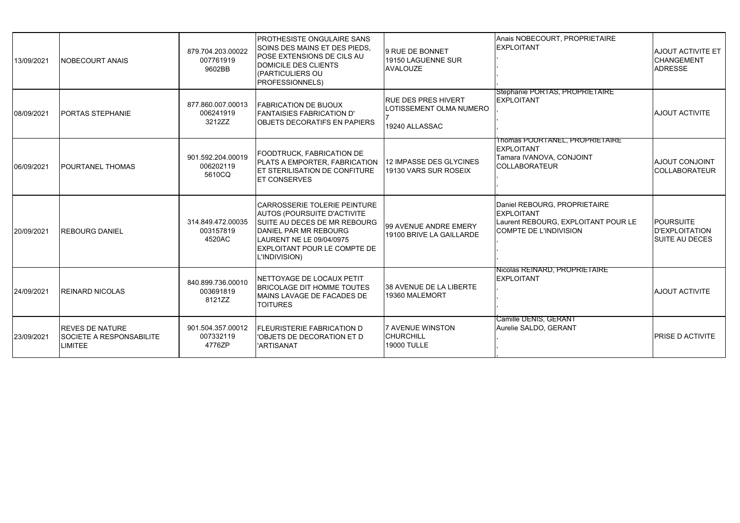| 13/09/2021 | <b>NOBECOURT ANAIS</b>                                                      | 879.704.203.00022<br>007761919<br>9602BB | <b>PROTHESISTE ONGULAIRE SANS</b><br>SOINS DES MAINS ET DES PIEDS.<br><b>POSE EXTENSIONS DE CILS AU</b><br>DOMICILE DES CLIENTS<br>(PARTICULIERS OU<br>PROFESSIONNELS)                                                 | 9 RUE DE BONNET<br>19150 LAGUENNE SUR<br><b>AVALOUZE</b>                | Anais NOBECOURT, PROPRIETAIRE<br><b>EXPLOITANT</b>                                                                        | AJOUT ACTIVITE ET<br><b>CHANGEMENT</b><br>ADRESSE                  |
|------------|-----------------------------------------------------------------------------|------------------------------------------|------------------------------------------------------------------------------------------------------------------------------------------------------------------------------------------------------------------------|-------------------------------------------------------------------------|---------------------------------------------------------------------------------------------------------------------------|--------------------------------------------------------------------|
| 08/09/2021 | <b>PORTAS STEPHANIE</b>                                                     | 877.860.007.00013<br>006241919<br>3212ZZ | <b>FABRICATION DE BIJOUX</b><br>FANTAISIES FABRICATION D'<br><b>IOBJETS DECORATIFS EN PAPIERS</b>                                                                                                                      | <b>RUE DES PRES HIVERT</b><br>LOTISSEMENT OLMA NUMERO<br>19240 ALLASSAC | Stephanie PORTAS, PROPRIETAIRE<br><b>EXPLOITANT</b>                                                                       | <b>AJOUT ACTIVITE</b>                                              |
| 06/09/2021 | <b>POURTANEL THOMAS</b>                                                     | 901.592.204.00019<br>006202119<br>5610CQ | FOODTRUCK, FABRICATION DE<br>PLATS A EMPORTER, FABRICATION<br><b>ET STERILISATION DE CONFITURE</b><br><b>ET CONSERVES</b>                                                                                              | 12 IMPASSE DES GLYCINES<br>19130 VARS SUR ROSEIX                        | Thomas POURTANEL, PROPRIETAIRE<br><b>EXPLOITANT</b><br>Tamara IVANOVA, CONJOINT<br><b>COLLABORATEUR</b>                   | <b>AJOUT CONJOINT</b><br>COLLABORATEUR                             |
| 20/09/2021 | <b>REBOURG DANIEL</b>                                                       | 314.849.472.00035<br>003157819<br>4520AC | <b>CARROSSERIE TOLERIE PEINTURE</b><br><b>AUTOS (POURSUITE D'ACTIVITE</b><br><b>SUITE AU DECES DE MR REBOURG</b><br>DANIEL PAR MR REBOURG<br>LAURENT NE LE 09/04/0975<br>EXPLOITANT POUR LE COMPTE DE<br>L'INDIVISION) | 99 AVENUE ANDRE EMERY<br>19100 BRIVE LA GAILLARDE                       | Daniel REBOURG, PROPRIETAIRE<br><b>EXPLOITANT</b><br>Laurent REBOURG, EXPLOITANT POUR LE<br><b>COMPTE DE L'INDIVISION</b> | <b>POURSUITE</b><br><b>D'EXPLOITATION</b><br><b>SUITE AU DECES</b> |
| 24/09/2021 | <b>REINARD NICOLAS</b>                                                      | 840.899.736.00010<br>003691819<br>8121ZZ | NETTOYAGE DE LOCAUX PETIT<br><b>BRICOLAGE DIT HOMME TOUTES</b><br>MAINS LAVAGE DE FACADES DE<br><b>TOITURES</b>                                                                                                        | 38 AVENUE DE LA LIBERTE<br>19360 MALEMORT                               | Nicolas REINARD, PROPRIETAIRE<br><b>EXPLOITANT</b>                                                                        | <b>AJOUT ACTIVITE</b>                                              |
| 23/09/2021 | <b>REVES DE NATURE</b><br><b>SOCIETE A RESPONSABILITE</b><br><b>LIMITEE</b> | 901.504.357.00012<br>007332119<br>4776ZP | <b>FLEURISTERIE FABRICATION D</b><br>'OBJETS DE DECORATION ET D<br>'ARTISANAT                                                                                                                                          | 7 AVENUE WINSTON<br><b>CHURCHILL</b><br><b>19000 TULLE</b>              | Camille DENIS, GERANT<br>Aurelie SALDO, GERANT                                                                            | <b>PRISE D ACTIVITE</b>                                            |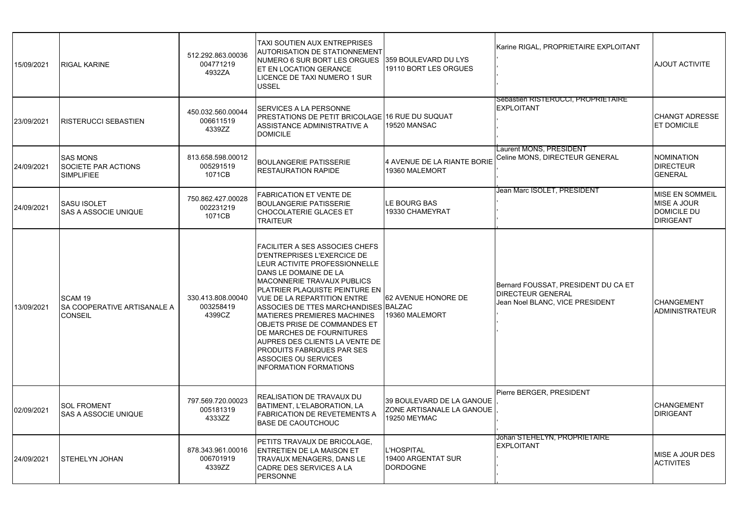| 15/09/2021 | <b>RIGAL KARINE</b>                                                 | 512.292.863.00036<br>004771219<br>4932ZA | TAXI SOUTIEN AUX ENTREPRISES<br><b>AUTORISATION DE STATIONNEMENT</b><br>NUMERO 6 SUR BORT LES ORGUES 1359 BOULEVARD DU LYS<br>ET EN LOCATION GERANCE<br>LICENCE DE TAXI NUMERO 1 SUR<br>USSEL                                                                                                                                                                                                                                                                                                                           | 19110 BORT LES ORGUES                                                  | Karine RIGAL, PROPRIETAIRE EXPLOITANT                                                              | <b>AJOUT ACTIVITE</b>                                                                  |
|------------|---------------------------------------------------------------------|------------------------------------------|-------------------------------------------------------------------------------------------------------------------------------------------------------------------------------------------------------------------------------------------------------------------------------------------------------------------------------------------------------------------------------------------------------------------------------------------------------------------------------------------------------------------------|------------------------------------------------------------------------|----------------------------------------------------------------------------------------------------|----------------------------------------------------------------------------------------|
| 23/09/2021 | <b>RISTERUCCI SEBASTIEN</b>                                         | 450.032.560.00044<br>006611519<br>4339ZZ | SERVICES A LA PERSONNE<br>PRESTATIONS DE PETIT BRICOLAGE 16 RUE DU SUQUAT<br>ASSISTANCE ADMINISTRATIVE A<br><b>DOMICILE</b>                                                                                                                                                                                                                                                                                                                                                                                             | 19520 MANSAC                                                           | Sebastien RISTERUCCI, PROPRIETAIRE<br><b>EXPLOITANT</b>                                            | <b>CHANGT ADRESSE</b><br><b>ET DOMICILE</b>                                            |
| 24/09/2021 | <b>SAS MONS</b><br>SOCIETE PAR ACTIONS<br><b>SIMPLIFIEE</b>         | 813.658.598.00012<br>005291519<br>1071CB | <b>BOULANGERIE PATISSERIE</b><br><b>RESTAURATION RAPIDE</b>                                                                                                                                                                                                                                                                                                                                                                                                                                                             | 4 AVENUE DE LA RIANTE BORIE<br>19360 MALEMORT                          | Laurent MONS. PRESIDENT<br>Celine MONS, DIRECTEUR GENERAL                                          | <b>NOMINATION</b><br><b>DIRECTEUR</b><br><b>GENERAL</b>                                |
| 24/09/2021 | <b>SASU ISOLET</b><br><b>SAS A ASSOCIE UNIQUE</b>                   | 750.862.427.00028<br>002231219<br>1071CB | <b>FABRICATION ET VENTE DE</b><br><b>BOULANGERIE PATISSERIE</b><br><b>CHOCOLATERIE GLACES ET</b><br><b>TRAITEUR</b>                                                                                                                                                                                                                                                                                                                                                                                                     | LE BOURG BAS<br>19330 CHAMEYRAT                                        | Jean Marc ISOLET. PRESIDENT                                                                        | <b>MISE EN SOMMEIL</b><br><b>MISE A JOUR</b><br><b>DOMICILE DU</b><br><b>DIRIGEANT</b> |
| 13/09/2021 | SCAM <sub>19</sub><br>SA COOPERATIVE ARTISANALE A<br><b>CONSEIL</b> | 330.413.808.00040<br>003258419<br>4399CZ | <b>FACILITER A SES ASSOCIES CHEFS</b><br>D'ENTREPRISES L'EXERCICE DE<br>LEUR ACTIVITE PROFESSIONNELLE<br>DANS LE DOMAINE DE LA<br>MACONNERIE TRAVAUX PUBLICS<br>IPLATRIER PLAQUISTE PEINTURE EN<br><b>VUE DE LA REPARTITION ENTRE</b><br>ASSOCIES DE TTES MARCHANDISES BALZAC<br><b>MATIERES PREMIERES MACHINES</b><br><b>OBJETS PRISE DE COMMANDES ET</b><br>DE MARCHES DE FOURNITURES<br>AUPRES DES CLIENTS LA VENTE DE<br><b>PRODUITS FABRIQUES PAR SES</b><br>ASSOCIES OU SERVICES<br><b>INFORMATION FORMATIONS</b> | 62 AVENUE HONORE DE<br>19360 MALEMORT                                  | Bernard FOUSSAT, PRESIDENT DU CA ET<br><b>DIRECTEUR GENERAL</b><br>Jean Noel BLANC, VICE PRESIDENT | <b>CHANGEMENT</b><br><b>ADMINISTRATEUR</b>                                             |
| 02/09/2021 | <b>SOL FROMENT</b><br><b>SAS A ASSOCIE UNIQUE</b>                   | 797.569.720.00023<br>005181319<br>4333ZZ | <b>REALISATION DE TRAVAUX DU</b><br>BATIMENT, L'ELABORATION, LA<br><b>FABRICATION DE REVETEMENTS A</b><br><b>BASE DE CAOUTCHOUC</b>                                                                                                                                                                                                                                                                                                                                                                                     | 39 BOULEVARD DE LA GANOUE<br>ZONE ARTISANALE LA GANOUE<br>19250 MEYMAC | Pierre BERGER, PRESIDENT                                                                           | <b>CHANGEMENT</b><br><b>DIRIGEANT</b>                                                  |
| 24/09/2021 | <b>ISTEHELYN JOHAN</b>                                              | 878.343.961.00016<br>006701919<br>4339ZZ | PETITS TRAVAUX DE BRICOLAGE.<br><b>ENTRETIEN DE LA MAISON ET</b><br>TRAVAUX MENAGERS, DANS LE<br>CADRE DES SERVICES A LA<br><b>PERSONNE</b>                                                                                                                                                                                                                                                                                                                                                                             | <b>L'HOSPITAL</b><br>19400 ARGENTAT SUR<br><b>DORDOGNE</b>             | Johan STEHELYN, PROPRIETAIRE<br><b>EXPLOITANT</b>                                                  | MISE A JOUR DES<br><b>ACTIVITES</b>                                                    |